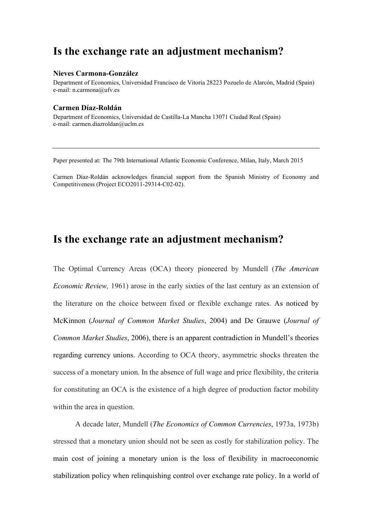## Is the exchange rate an adjustment mechanism?

## Nieves Carmona-González

Department of Economics, Universidad Francisco de Vitoria 28223 Pozuelo de Alarcón, Madrid (Spain) e-mail: n.carmona@ufv.es

## Carmen Díaz-Roldán

Department of Economics, Universidad de Castilla-La Mancha 13071 Ciudad Real (Spain) e-mail: carmen.diazroldan@uclm.es

Paper presented at: The 79th International Atlantic Economic Conference, Milan, Italy, March 2015

Carmen Díaz-Roldán acknowledges financial support from the Spanish Ministry of Economy and Competitiveness (Project ECO2011-29314-C02-02).

## Is the exchange rate an adjustment mechanism?

The Optimal Currency Areas (OCA) theory pioneered by Mundell (The American Economic Review, 1961) arose in the early sixties of the last century as an extension of the literature on the choice between fixed or flexible exchange rates. As noticed by McKinnon (Journal of Common Market Studies, 2004) and De Grauwe (Journal of Common Market Studies, 2006), there is an apparent contradiction in Mundell's theories regarding currency unions. According to OCA theory, asymmetric shocks threaten the success of a monetary union. In the absence of full wage and price flexibility, the criteria for constituting an OCA is the existence of a high degree of production factor mobility within the area in question.

 A decade later, Mundell (The Economics of Common Currencies, 1973a, 1973b) stressed that a monetary union should not be seen as costly for stabilization policy. The main cost of joining a monetary union is the loss of flexibility in macroeconomic stabilization policy when relinquishing control over exchange rate policy. In a world of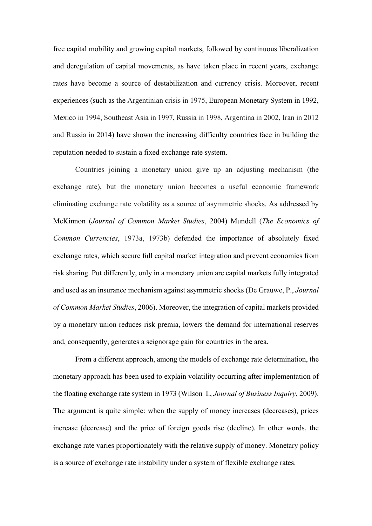free capital mobility and growing capital markets, followed by continuous liberalization and deregulation of capital movements, as have taken place in recent years, exchange rates have become a source of destabilization and currency crisis. Moreover, recent experiences (such as the Argentinian crisis in 1975, European Monetary System in 1992, Mexico in 1994, Southeast Asia in 1997, Russia in 1998, Argentina in 2002, Iran in 2012 and Russia in 2014) have shown the increasing difficulty countries face in building the reputation needed to sustain a fixed exchange rate system.

Countries joining a monetary union give up an adjusting mechanism (the exchange rate), but the monetary union becomes a useful economic framework eliminating exchange rate volatility as a source of asymmetric shocks. As addressed by McKinnon (Journal of Common Market Studies, 2004) Mundell (The Economics of Common Currencies, 1973a, 1973b) defended the importance of absolutely fixed exchange rates, which secure full capital market integration and prevent economies from risk sharing. Put differently, only in a monetary union are capital markets fully integrated and used as an insurance mechanism against asymmetric shocks (De Grauwe, P., Journal of Common Market Studies, 2006). Moreover, the integration of capital markets provided by a monetary union reduces risk premia, lowers the demand for international reserves and, consequently, generates a seignorage gain for countries in the area.

From a different approach, among the models of exchange rate determination, the monetary approach has been used to explain volatility occurring after implementation of the floating exchange rate system in 1973 (Wilson I., Journal of Business Inquiry, 2009). The argument is quite simple: when the supply of money increases (decreases), prices increase (decrease) and the price of foreign goods rise (decline). In other words, the exchange rate varies proportionately with the relative supply of money. Monetary policy is a source of exchange rate instability under a system of flexible exchange rates.